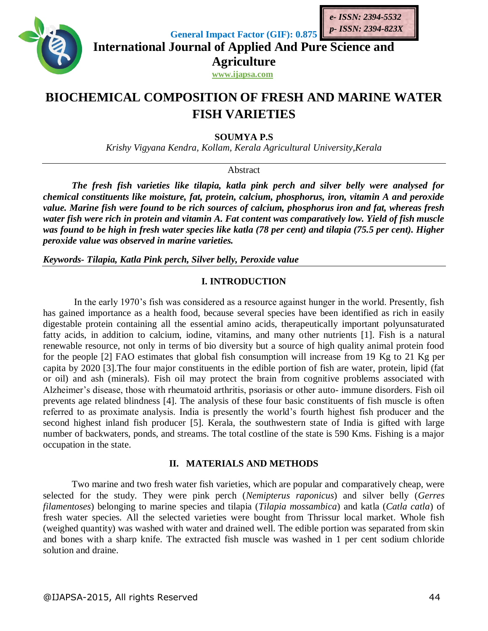

**General Impact Factor (GIF): 0.875**

**International Journal of Applied And Pure Science and Agriculture**

**www.ijapsa.com**

# **BIOCHEMICAL COMPOSITION OF FRESH AND MARINE WATER FISH VARIETIES**

**SOUMYA P.S** 

*Krishy Vigyana Kendra, Kollam, Kerala Agricultural University,Kerala*

Abstract

*The fresh fish varieties like tilapia, katla pink perch and silver belly were analysed for chemical constituents like moisture, fat, protein, calcium, phosphorus, iron, vitamin A and peroxide value. Marine fish were found to be rich sources of calcium, phosphorus iron and fat, whereas fresh water fish were rich in protein and vitamin A. Fat content was comparatively low. Yield of fish muscle was found to be high in fresh water species like katla (78 per cent) and tilapia (75.5 per cent). Higher peroxide value was observed in marine varieties.* 

*Keywords- Tilapia, Katla Pink perch, Silver belly, Peroxide value* 

## **I. INTRODUCTION**

In the early 1970's fish was considered as a resource against hunger in the world. Presently, fish has gained importance as a health food, because several species have been identified as rich in easily digestable protein containing all the essential amino acids, therapeutically important polyunsaturated fatty acids, in addition to calcium, iodine, vitamins, and many other nutrients [1]. Fish is a natural renewable resource, not only in terms of bio diversity but a source of high quality animal protein food for the people [2] FAO estimates that global fish consumption will increase from 19 Kg to 21 Kg per capita by 2020 [3].The four major constituents in the edible portion of fish are water, protein, lipid (fat or oil) and ash (minerals). Fish oil may protect the brain from cognitive problems associated with Alzheimer's disease, those with rheumatoid arthritis, psoriasis or other auto- immune disorders. Fish oil prevents age related blindness [4]. The analysis of these four basic constituents of fish muscle is often referred to as proximate analysis. India is presently the world's fourth highest fish producer and the second highest inland fish producer [5]. Kerala, the southwestern state of India is gifted with large number of backwaters, ponds, and streams. The total costline of the state is 590 Kms. Fishing is a major occupation in the state.

## **II. MATERIALS AND METHODS**

Two marine and two fresh water fish varieties, which are popular and comparatively cheap, were selected for the study. They were pink perch (*Nemipterus raponicus*) and silver belly (*Gerres filamentoses*) belonging to marine species and tilapia (*Tilapia mossambica*) and katla (*Catla catla*) of fresh water species. All the selected varieties were bought from Thrissur local market. Whole fish (weighed quantity) was washed with water and drained well. The edible portion was separated from skin and bones with a sharp knife. The extracted fish muscle was washed in 1 per cent sodium chloride solution and draine.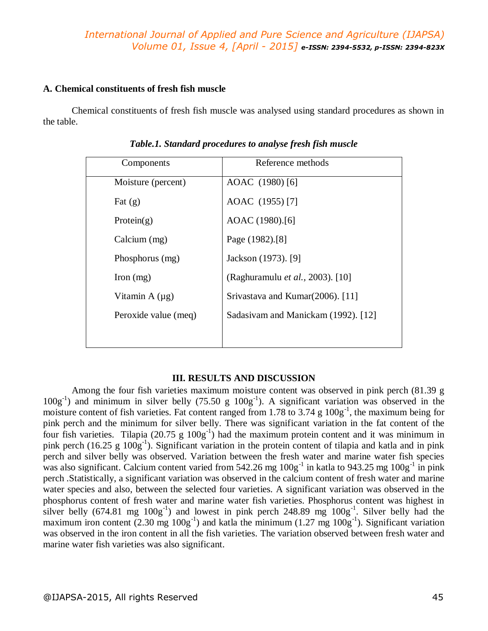## *International Journal of Applied and Pure Science and Agriculture (IJAPSA) Volume 01, Issue 4, [April - 2015] e-ISSN: 2394-5532, p-ISSN: 2394-823X*

#### **A. Chemical constituents of fresh fish muscle**

Chemical constituents of fresh fish muscle was analysed using standard procedures as shown in the table.

| Components           | Reference methods                   |  |  |  |  |
|----------------------|-------------------------------------|--|--|--|--|
| Moisture (percent)   | AOAC (1980) [6]                     |  |  |  |  |
| Fat $(g)$            | AOAC (1955) [7]                     |  |  |  |  |
| Protein $(g)$        | AOAC (1980).[6]                     |  |  |  |  |
| Calcium (mg)         | Page (1982).[8]                     |  |  |  |  |
| Phosphorus (mg)      | Jackson (1973). [9]                 |  |  |  |  |
| Iron $(mg)$          | (Raghuramulu et al., 2003). [10]    |  |  |  |  |
| Vitamin $A(\mu g)$   | Srivastava and Kumar(2006). [11]    |  |  |  |  |
| Peroxide value (meq) | Sadasivam and Manickam (1992). [12] |  |  |  |  |
|                      |                                     |  |  |  |  |

*Table.1. Standard procedures to analyse fresh fish muscle*

### **III. RESULTS AND DISCUSSION**

Among the four fish varieties maximum moisture content was observed in pink perch (81.39 g  $100g^{-1}$ ) and minimum in silver belly (75.50 g  $100g^{-1}$ ). A significant variation was observed in the moisture content of fish varieties. Fat content ranged from 1.78 to 3.74  $g$  100 $g^{-1}$ , the maximum being for pink perch and the minimum for silver belly. There was significant variation in the fat content of the four fish varieties. Tilapia  $(20.75 \text{ g } 100 \text{ g}^{-1})$  had the maximum protein content and it was minimum in pink perch (16.25 g  $100g^{-1}$ ). Significant variation in the protein content of tilapia and katla and in pink perch and silver belly was observed. Variation between the fresh water and marine water fish species was also significant. Calcium content varied from  $542.26$  mg  $100g^{-1}$  in katla to  $943.25$  mg  $100g^{-1}$  in pink perch .Statistically, a significant variation was observed in the calcium content of fresh water and marine water species and also, between the selected four varieties. A significant variation was observed in the phosphorus content of fresh water and marine water fish varieties. Phosphorus content was highest in silver belly (674.81 mg  $100g^{-1}$ ) and lowest in pink perch 248.89 mg  $100g^{-1}$ . Silver belly had the maximum iron content  $(2.30 \text{ mg } 100 \text{g}^{-1})$  and katla the minimum  $(1.27 \text{ mg } 100 \text{g}^{-1})$ . Significant variation was observed in the iron content in all the fish varieties. The variation observed between fresh water and marine water fish varieties was also significant.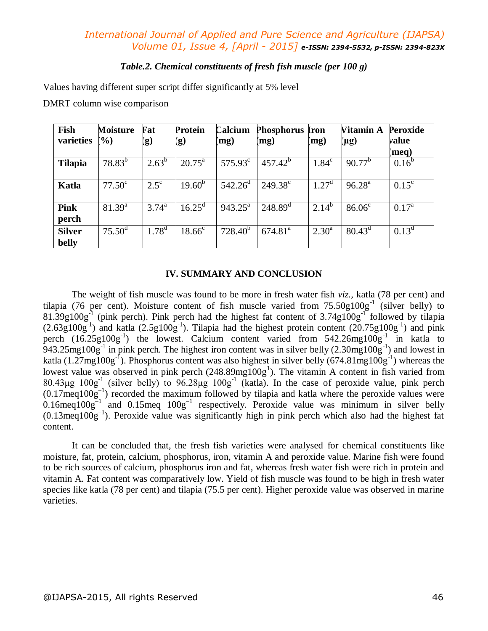## *International Journal of Applied and Pure Science and Agriculture (IJAPSA) Volume 01, Issue 4, [April - 2015] e-ISSN: 2394-5532, p-ISSN: 2394-823X*

### *Table.2. Chemical constituents of fresh fish muscle (per 100 g)*

Values having different super script differ significantly at 5% level

DMRT column wise comparison

| Fish<br>varieties      | <b>Moisture</b><br>$\frac{1}{2}$ | Fat<br>(g)     | <b>Protein</b><br>(g) | Calcium<br>(mg)         | <b>Phosphorus</b><br>(mg) | Iron<br>(mg)   | Vitamin A<br>(µg) | <b>Peroxide</b><br>value<br>(meq) |
|------------------------|----------------------------------|----------------|-----------------------|-------------------------|---------------------------|----------------|-------------------|-----------------------------------|
| <b>Tilapia</b>         | $78.83^{b}$                      | $2.63^b$       | $20.75^{\text{a}}$    | $575.93^{\circ}$        | $457.42^{b}$              | $1.84^\circ$   | $90.77^{b}$       | $0.16^{b}$                        |
| Katla                  | $77.50^{\circ}$                  | $2.5^{\circ}$  | $19.60^{b}$           | $542.26^{\rm d}$        | $249.38^{\circ}$          | $1.27^{\rm d}$ | $96.28^{a}$       | $0.15^{\circ}$                    |
| <b>Pink</b><br>perch   | $81.39^{a}$                      | $3.74^{\circ}$ | $16.25^{\rm d}$       | $943.25^{\overline{a}}$ | $248.89^{T}$              | $2.14^{b}$     | $86.06^{\circ}$   | $0.17^{\rm a}$                    |
| <b>Silver</b><br>belly | $75.50^{\rm d}$                  | $1.78^{d}$     | $18.66^{\circ}$       | $728.40^{b}$            | 674.81 <sup>a</sup>       | $2.30^{a}$     | $80.43^d$         | $0.13^d$                          |

#### **IV. SUMMARY AND CONCLUSION**

The weight of fish muscle was found to be more in fresh water fish *viz.,* katla (78 per cent) and tilapia (76 per cent). Moisture content of fish muscle varied from 75.50g100g<sup>-1</sup> (silver belly) to  $81.39g100g<sup>-1</sup>$  (pink perch). Pink perch had the highest fat content of 3.74g100g<sup>-1</sup> followed by tilapia  $(2.63g100g^{-1})$  and katla  $(2.5g100g^{-1})$ . Tilapia had the highest protein content  $(20.75g100g^{-1})$  and pink perch  $(16.25g100g^{-1})$  the lowest. Calcium content varied from  $542.26mg100g^{-1}$  in katla to 943.25mg100g<sup>-1</sup> in pink perch. The highest iron content was in silver belly  $(2.30mg100g^{-1})$  and lowest in katla (1.27mg100g<sup>-1</sup>). Phosphorus content was also highest in silver belly (674.81mg100g<sup>-1</sup>) whereas the lowest value was observed in pink perch  $(248.89 \text{mg}100 \text{g}^1)$ . The vitamin A content in fish varied from  $80.43\mu$ g  $100g^{-1}$  (silver belly) to  $96.28\mu g$   $100g^{-1}$  (katla). In the case of peroxide value, pink perch  $(0.17 \text{meq} 100 \text{g}^{-1})$  recorded the maximum followed by tilapia and katla where the peroxide values were 0.16meq $100g^{-1}$  and 0.15meq  $100g^{-1}$  respectively. Peroxide value was minimum in silver belly  $(0.13 \text{meq} 100 \text{g}^{-1})$ . Peroxide value was significantly high in pink perch which also had the highest fat content.

It can be concluded that, the fresh fish varieties were analysed for chemical constituents like moisture, fat, protein, calcium, phosphorus, iron, vitamin A and peroxide value. Marine fish were found to be rich sources of calcium, phosphorus iron and fat, whereas fresh water fish were rich in protein and vitamin A. Fat content was comparatively low. Yield of fish muscle was found to be high in fresh water species like katla (78 per cent) and tilapia (75.5 per cent). Higher peroxide value was observed in marine varieties.